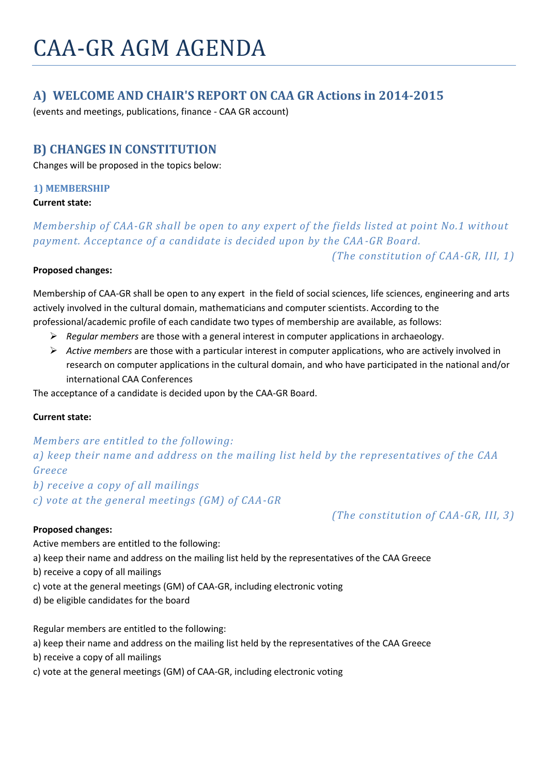# CAA-GR AGM AGENDA

# **A) WELCOME AND CHAIR'S REPORT ON CAA GR Actions in 2014-2015**

(events and meetings, publications, finance - CAA GR account)

## **B) CHANGES IN CONSTITUTION**

Changes will be proposed in the topics below:

#### **1) MEMBERSHIP**

#### **Current state:**

*Membership of CAA-GR shall be open to any expert of the fields listed at point No.1 without payment. Acceptance of a candidate is decided upon by the CAA-GR Board. (The constitution of CAA-GR, III, 1)*

#### **Proposed changes:**

Membership of CAA-GR shall be open to any expert in the field of social sciences, life sciences, engineering and arts actively involved in the cultural domain, mathematicians and computer scientists. According to the professional/academic profile of each candidate two types of membership are available, as follows:

- *Regular members* are those with a general interest in computer applications in archaeology.
- *Active members* are those with a particular interest in computer applications, who are actively involved in research on computer applications in the cultural domain, and who have participated in the national and/or international CAA Conferences

The acceptance of a candidate is decided upon by the CAA-GR Board.

#### **Current state:**

## *Members are entitled to the following: a) keep their name and address on the mailing list held by the representatives of the CAA Greece*

*b) receive a copy of all mailings*

*c) vote at the general meetings (GM) of CAA-GR*

#### **Proposed changes:**

*(The constitution of CAA-GR, III, 3)*

Active members are entitled to the following:

a) keep their name and address on the mailing list held by the representatives of the CAA Greece

- b) receive a copy of all mailings
- c) vote at the general meetings (GM) of CAA-GR, including electronic voting
- d) be eligible candidates for the board

Regular members are entitled to the following:

- a) keep their name and address on the mailing list held by the representatives of the CAA Greece
- b) receive a copy of all mailings
- c) vote at the general meetings (GM) of CAA-GR, including electronic voting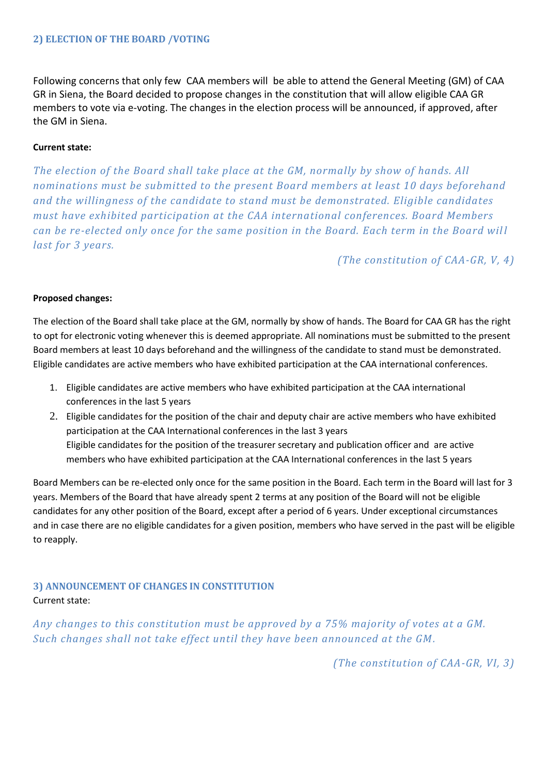#### **2) ELECTION OF THE BOARD /VOTING**

Following concerns that only few CAA members will be able to attend the General Meeting (GM) of CAA GR in Siena, the Board decided to propose changes in the constitution that will allow eligible CAA GR members to vote via e-voting. The changes in the election process will be announced, if approved, after the GM in Siena.

#### **Current state:**

*The election of the Board shall take place at the GM, normally by show of hands. All nominations must be submitted to the present Board members at least 10 days beforehand and the willingness of the candidate to stand must be demonstrated. Eligible candidates must have exhibited participation at the CAA international conferences. Board Members can be re-elected only once for the same position in the Board. Each term in the Board wil l last for 3 years.*

*(The constitution of CAA-GR, V, 4)*

#### **Proposed changes:**

The election of the Board shall take place at the GM, normally by show of hands. The Board for CAA GR has the right to opt for electronic voting whenever this is deemed appropriate. All nominations must be submitted to the present Board members at least 10 days beforehand and the willingness of the candidate to stand must be demonstrated. Eligible candidates are active members who have exhibited participation at the CAA international conferences.

- 1. Eligible candidates are active members who have exhibited participation at the CAA international conferences in the last 5 years
- 2. Eligible candidates for the position of the chair and deputy chair are active members who have exhibited participation at the CAA International conferences in the last 3 years Eligible candidates for the position of the treasurer secretary and publication officer and are active members who have exhibited participation at the CAA International conferences in the last 5 years

Board Members can be re-elected only once for the same position in the Board. Each term in the Board will last for 3 years. Members of the Board that have already spent 2 terms at any position of the Board will not be eligible candidates for any other position of the Board, except after a period of 6 years. Under exceptional circumstances and in case there are no eligible candidates for a given position, members who have served in the past will be eligible to reapply.

## **3) ANNOUNCEMENT OF CHANGES IN CONSTITUTION** Current state:

*Αny changes to this constitution must be approved by a 75% majority of votes at a GM. Such changes shall not take effect until they have been announced at the GM.*

*(The constitution of CAA-GR, VI, 3)*